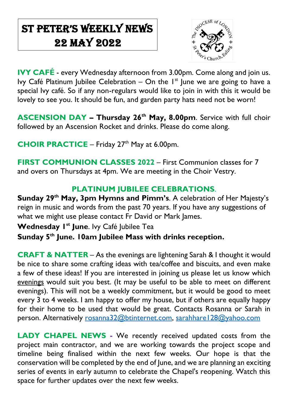# St Peter's Weekly NeWs 22 May 2022

 $\overline{\phantom{a}}$ 



**IVY CAFÉ** - every Wednesday afternoon from 3.00pm. Come along and join us. Ivy Café Platinum Jubilee Celebration – On the  $I<sup>st</sup>$  June we are going to have a special Ivy café. So if any non-regulars would like to join in with this it would be lovely to see you. It should be fun, and garden party hats need not be worn!

**ASCENSION DAY – Thursday 26th May, 8.00pm**. Service with full choir followed by an Ascension Rocket and drinks. Please do come along.

**CHOIR PRACTICE** – Friday 27<sup>th</sup> May at 6.00pm.

**FIRST COMMUNION CLASSES 2022** – First Communion classes for 7 and overs on Thursdays at 4pm. We are meeting in the Choir Vestry.

## **PLATINUM JUBILEE CELEBRATIONS**.

**Sunday 29th May, 3pm Hymns and Pimm's**. A celebration of Her Majesty's reign in music and words from the past 70 years. If you have any suggestions of what we might use please contact Fr David or Mark James.

**Wednesday 1st June**. Ivy Café Jubilee Tea

**Sunday 5th June. 10am Jubilee Mass with drinks reception.**

**CRAFT & NATTER** – As the evenings are lightening Sarah & I thought it would be nice to share some crafting ideas with tea/coffee and biscuits, and even make a few of these ideas! If you are interested in joining us please let us know which evenings would suit you best. (It may be useful to be able to meet on different evenings). This will not be a weekly commitment, but it would be good to meet every 3 to 4 weeks. I am happy to offer my house, but if others are equally happy for their home to be used that would be great. Contacts Rosanna or Sarah in person. Alternatively [rosanna32@btinternet.com,](mailto:rosanna32@btinternet.com) [sarahhare128@yahoo.com](mailto:sarahhare128@yahoo.com)

**LADY CHAPEL NEWS -** We recently received updated costs from the project main contractor, and we are working towards the project scope and timeline being finalised within the next few weeks. Our hope is that the conservation will be completed by the end of June, and we are planning an exciting series of events in early autumn to celebrate the Chapel's reopening. Watch this space for further updates over the next few weeks.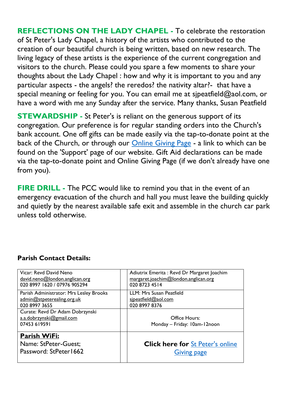**REFLECTIONS ON THE LADY CHAPEL -** To celebrate the restoration of St Peter's Lady Chapel, a history of the artists who contributed to the creation of our beautiful church is being written, based on new research. The living legacy of these artists is the experience of the current congregation and visitors to the church. Please could you spare a few moments to share your thoughts about the Lady Chapel : how and why it is important to you and any particular aspects - the angels? the reredos? the nativity altar?- that have a special meaning or feeling for you. You can email me at [sjpeatfield@aol.com,](mailto:sjpeatfield@aol.com) or have a word with me any Sunday after the service. Many thanks, Susan Peatfield

**STEWARDSHIP -** St Peter's is reliant on the generous support of its congregation. Our preference is for regular standing orders into the Church's bank account. One off gifts can be made easily via the tap-to-donate point at the back of the Church, or through our **Online Giving Page** - a link to which can be found on the 'Support' page of our website. Gift Aid declarations can be made via the tap-to-donate point and Online Giving Page (if we don't already have one from you).

**FIRE DRILL -** The PCC would like to remind you that in the event of an emergency evacuation of the church and hall you must leave the building quickly and quietly by the nearest available safe exit and assemble in the church car park unless told otherwise.

| Password: StPeter1662                   | <b>Giving page</b>                          |
|-----------------------------------------|---------------------------------------------|
| Name: StPeter-Guest;                    | <b>Click here for St Peter's online</b>     |
| Parish WiFi:                            |                                             |
| 07453 619591                            | Monday - Friday: 10am-12noon                |
| a.a.dobrzynski@gmail.com                | Office Hours:                               |
| Curate: Revd Dr Adam Dobrzynski         |                                             |
| 020 8997 3655                           | 020 8997 8376                               |
| admin@stpeterealing.org.uk              | sipeatfield@aol.com                         |
| Parish Administrator: Mrs Lesley Brooks | LLM: Mrs Susan Peatfield                    |
| 020 8997 1620 / 07976 905294            | 020 8723 4514                               |
| david.neno@london.anglican.org          | margaret.joachim@london.anglican.org        |
| Vicar: Revd David Neno                  | Adiutrix Emerita : Revd Dr Margaret Joachim |

## **Parish Contact Details:**